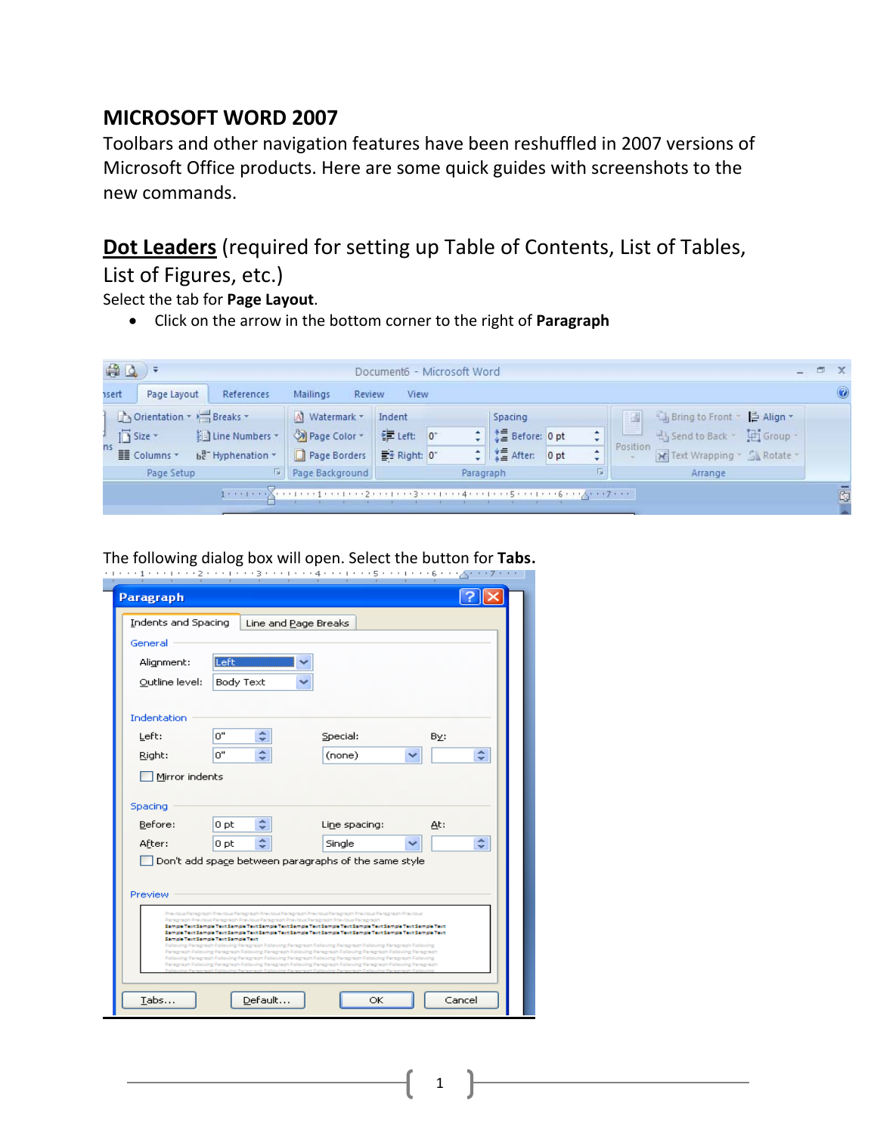## **MICROSOFT WORD 2007**

Toolbars and other navigation features have been reshuffled in 2007 versions of Microsoft Office products. Here are some quick guides with screenshots to the new commands.

## **Dot Leaders** (required for setting up Table of Contents, List of Tables,

List of Figures, etc.)

Select the tab for **Page Layout**.

• Click on the arrow in the bottom corner to the right of **Paragraph**



The following dialog box will open. Select the button for **Tabs**.

| Indents and Spacing<br>General | Line and Page Breaks                                                                                                         |                                                                                                                                                                                                                                                                                                                                                                                                                                                                                                                                                                                                                                                                                                                                                                                                                                   |        |
|--------------------------------|------------------------------------------------------------------------------------------------------------------------------|-----------------------------------------------------------------------------------------------------------------------------------------------------------------------------------------------------------------------------------------------------------------------------------------------------------------------------------------------------------------------------------------------------------------------------------------------------------------------------------------------------------------------------------------------------------------------------------------------------------------------------------------------------------------------------------------------------------------------------------------------------------------------------------------------------------------------------------|--------|
| Alignment:                     | Left                                                                                                                         |                                                                                                                                                                                                                                                                                                                                                                                                                                                                                                                                                                                                                                                                                                                                                                                                                                   |        |
| Outline level:                 | Body Text                                                                                                                    |                                                                                                                                                                                                                                                                                                                                                                                                                                                                                                                                                                                                                                                                                                                                                                                                                                   |        |
| Indentation                    |                                                                                                                              |                                                                                                                                                                                                                                                                                                                                                                                                                                                                                                                                                                                                                                                                                                                                                                                                                                   |        |
| Left:                          | ×.<br>0"<br>÷                                                                                                                | Special:                                                                                                                                                                                                                                                                                                                                                                                                                                                                                                                                                                                                                                                                                                                                                                                                                          | By:    |
| Right:                         | ۰<br>ο"                                                                                                                      | (none)                                                                                                                                                                                                                                                                                                                                                                                                                                                                                                                                                                                                                                                                                                                                                                                                                            | ×<br>÷ |
| Mirror indents                 |                                                                                                                              |                                                                                                                                                                                                                                                                                                                                                                                                                                                                                                                                                                                                                                                                                                                                                                                                                                   |        |
| Spacing                        |                                                                                                                              |                                                                                                                                                                                                                                                                                                                                                                                                                                                                                                                                                                                                                                                                                                                                                                                                                                   |        |
| Before:                        | ٠<br>0 pt                                                                                                                    | Line spacing:                                                                                                                                                                                                                                                                                                                                                                                                                                                                                                                                                                                                                                                                                                                                                                                                                     | At:    |
| After:                         | ٥<br>0 <sub>pt</sub>                                                                                                         | Single                                                                                                                                                                                                                                                                                                                                                                                                                                                                                                                                                                                                                                                                                                                                                                                                                            | ۸      |
|                                |                                                                                                                              | Don't add space between paragraphs of the same style                                                                                                                                                                                                                                                                                                                                                                                                                                                                                                                                                                                                                                                                                                                                                                              |        |
|                                |                                                                                                                              |                                                                                                                                                                                                                                                                                                                                                                                                                                                                                                                                                                                                                                                                                                                                                                                                                                   |        |
| Preview                        |                                                                                                                              |                                                                                                                                                                                                                                                                                                                                                                                                                                                                                                                                                                                                                                                                                                                                                                                                                                   |        |
|                                | Paragraph Previous Paragraph Previous Paragraph Previous Paragraph Previous Paragraph<br>Sample Text Sample Text Sample Text | Previous Paragraph Previous Paragraph Previous Paragraph Previous Paragraph Previous Paragraph Previous<br>Sample Text Sample Text Sample Text Sample Text Sample Text Sample Text Sample Text Sample Text Sample Text Sample Text<br>Sample Text Sample Text Sample Text Sample Text Sample Text Sample Text Sample Text Sample Text Sample Text Sample Text<br>Following Paragraph Following Paragraph Following Paragraph Following Paragraph Following Paragraph Following<br>Paragraph Following Paragraph Following Paragraph Following Paragraph Following Paragraph Following Paragraph<br>Following Paragraph Following Paragraph Following Paragraph Following Paragraph Following Paragraph Following<br>Paragraph Following Paragraph Following Paragraph Following Paragraph Following Paragraph Following Paragraph |        |

1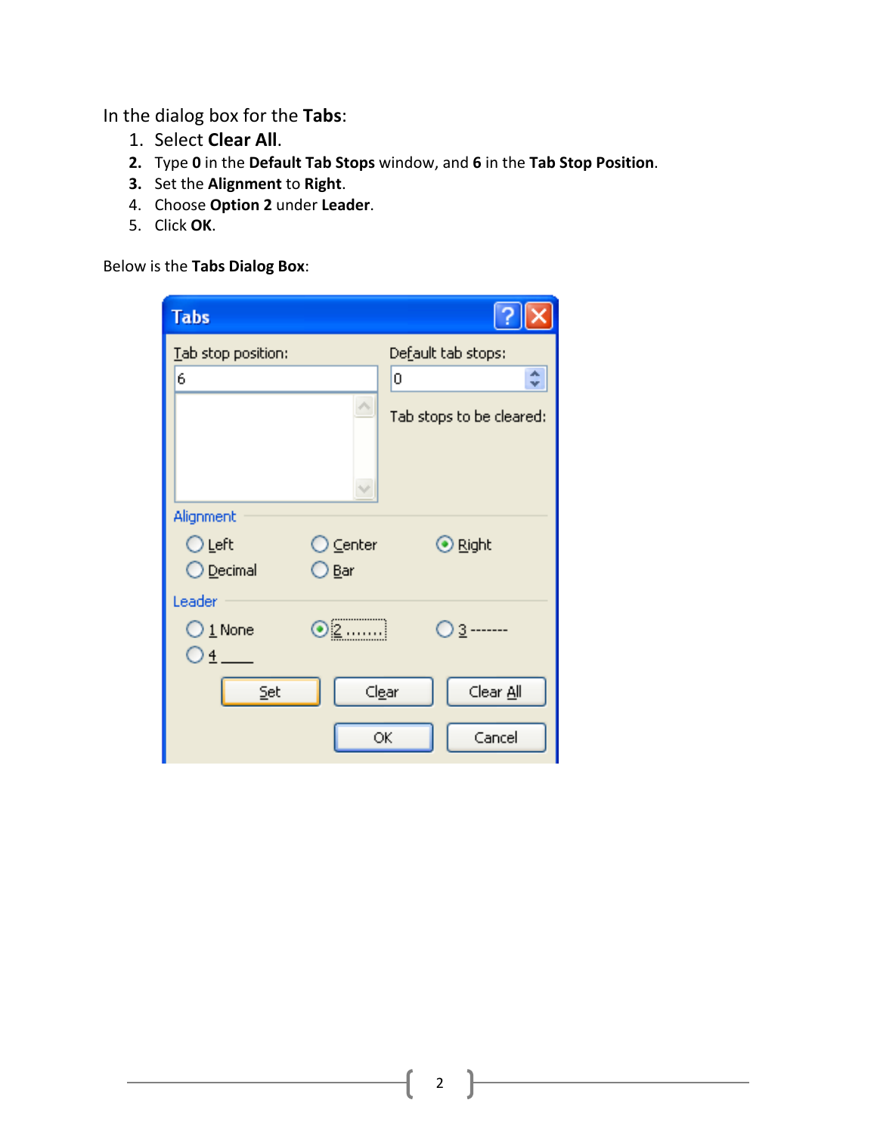In the dialog box for the **Tabs**:

- 1. Select **Clear All**.
- **2.** Type **0** in the **Default Tab Stops** window, and **6** in the **Tab Stop Position**.
- **3.** Set the **Alignment** to **Right**.
- 4. Choose **Option 2** under **Leader**.
- 5. Click **OK**.

Below is the **Tabs Dialog Box**:

| <b>Tabs</b>                                  |                          |
|----------------------------------------------|--------------------------|
| Tab stop position:                           | Default tab stops:       |
| 6                                            | ۸<br>0<br>÷              |
|                                              | Tab stops to be cleared: |
| Alignment                                    |                          |
| $\supseteq$ Center<br>⊙Left                  | ⊙ Right                  |
| ◯ <u>D</u> ecimal<br>⊃ <u>B</u> ar           |                          |
| Leader                                       |                          |
| ⊙⊵……]<br>$\bigcirc$ 1 None<br>O <sub>1</sub> |                          |
| Set                                          | Clear All<br>Clear       |
|                                              | Cancel<br>ОК             |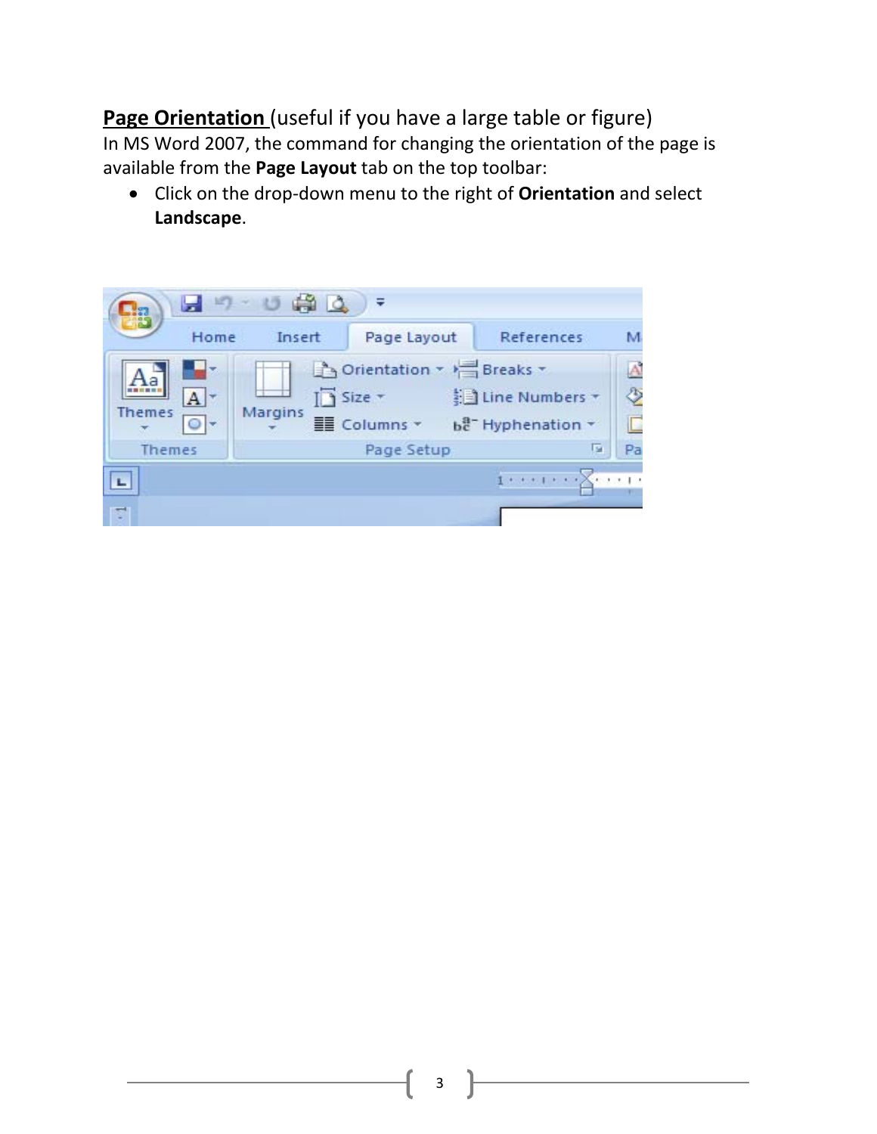**Page Orientation** (useful if you have a large table or figure)

In MS Word 2007, the command for changing the orientation of the page is available from the **Page Layout** tab on the top toolbar:

• Click on the drop‐down menu to the right of **Orientation** and select **Landscape**.

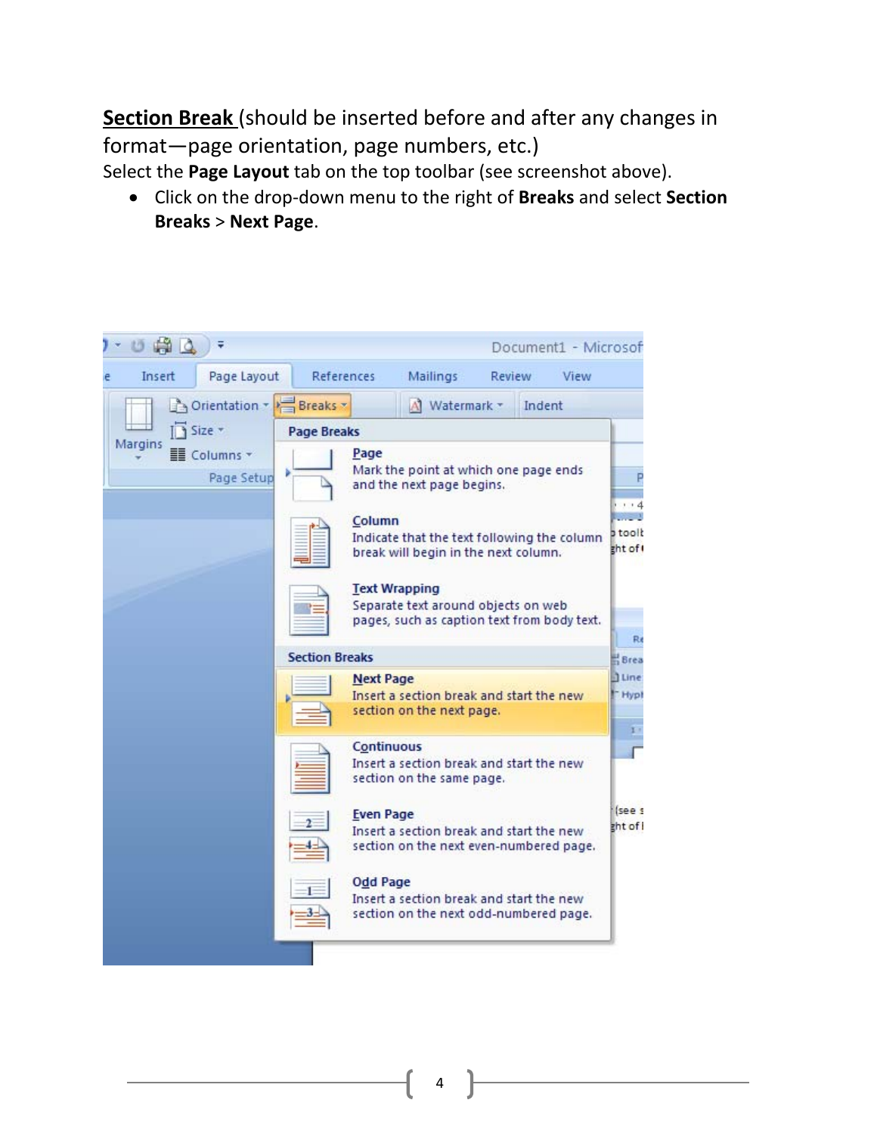**Section Break** (should be inserted before and after any changes in format—page orientation, page numbers, etc.)

Select the **Page Layout** tab on the top toolbar (see screenshot above).

• Click on the drop‐down menu to the right of **Breaks** and select **Section Breaks** > **Next Page**.

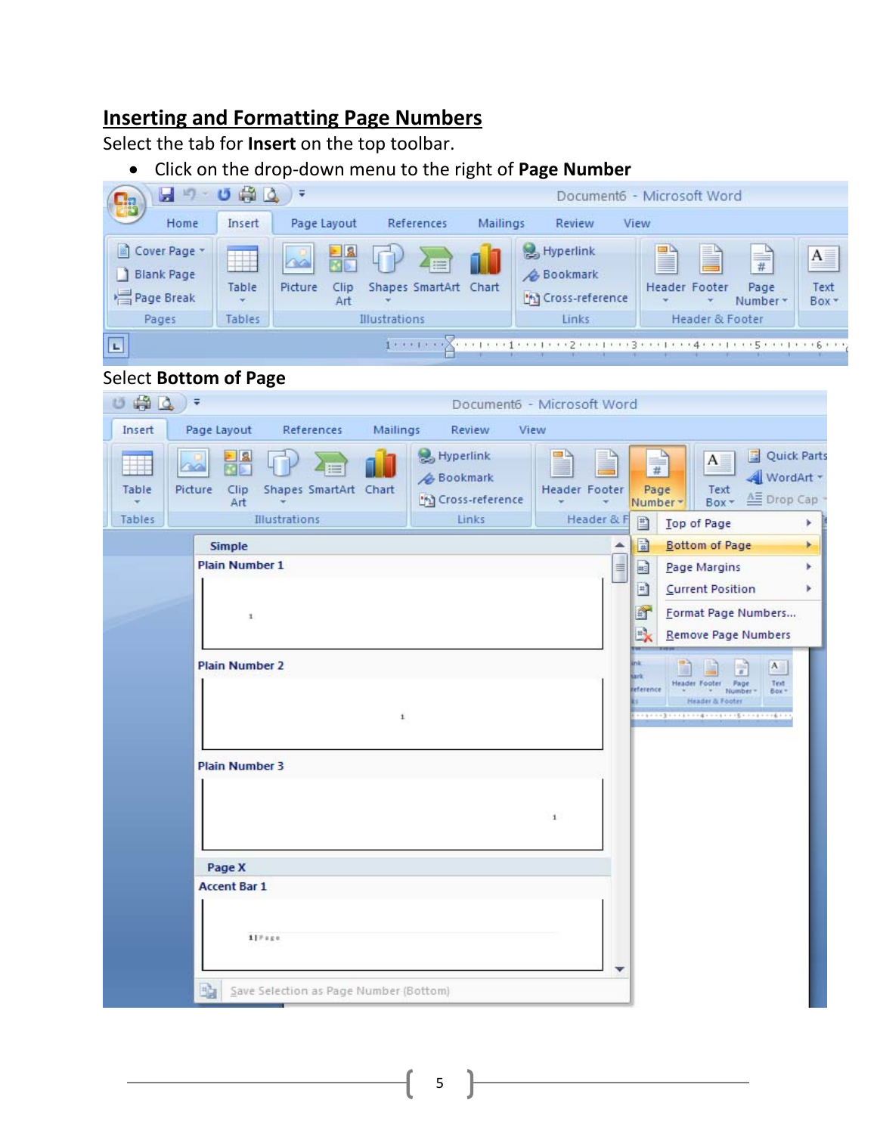## **Inserting and Formatting Page Numbers**

Select the tab for **Insert** on the top toolbar.

• Click on the drop‐down menu to the right of **Page Number**